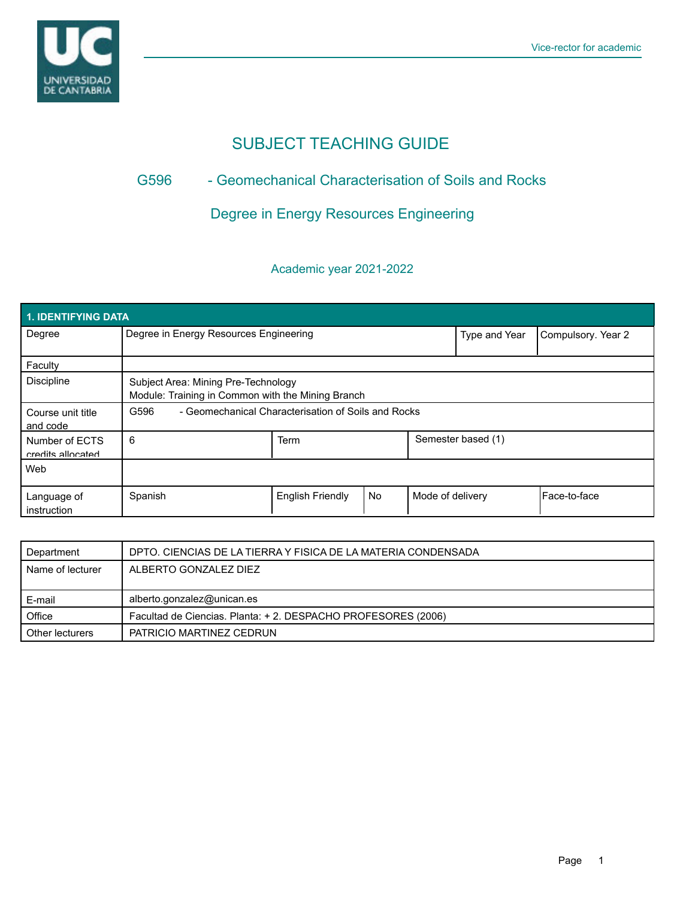

# SUBJECT TEACHING GUIDE

### G596 - Geomechanical Characterisation of Soils and Rocks

## Degree in Energy Resources Engineering

### Academic year 2021-2022

| <b>1. IDENTIFYING DATA</b>          |                                                                                          |                         |               |                    |                    |              |  |
|-------------------------------------|------------------------------------------------------------------------------------------|-------------------------|---------------|--------------------|--------------------|--------------|--|
| Degree                              | Degree in Energy Resources Engineering                                                   |                         | Type and Year | Compulsory. Year 2 |                    |              |  |
| Faculty                             |                                                                                          |                         |               |                    |                    |              |  |
| <b>Discipline</b>                   | Subject Area: Mining Pre-Technology<br>Module: Training in Common with the Mining Branch |                         |               |                    |                    |              |  |
| Course unit title<br>and code       | - Geomechanical Characterisation of Soils and Rocks<br>G596                              |                         |               |                    |                    |              |  |
| Number of ECTS<br>credits allocated | 6                                                                                        | Term                    |               |                    | Semester based (1) |              |  |
| Web                                 |                                                                                          |                         |               |                    |                    |              |  |
| Language of<br>instruction          | Spanish                                                                                  | <b>English Friendly</b> | <b>No</b>     | Mode of delivery   |                    | Face-to-face |  |

| Department       | DPTO. CIENCIAS DE LA TIERRA Y FISICA DE LA MATERIA CONDENSADA |  |
|------------------|---------------------------------------------------------------|--|
| Name of lecturer | ALBERTO GONZALEZ DIEZ                                         |  |
|                  |                                                               |  |
| E-mail           | alberto.gonzalez@unican.es                                    |  |
| Office           | Facultad de Ciencias. Planta: +2. DESPACHO PROFESORES (2006)  |  |
| Other lecturers  | PATRICIO MARTINEZ CEDRUN                                      |  |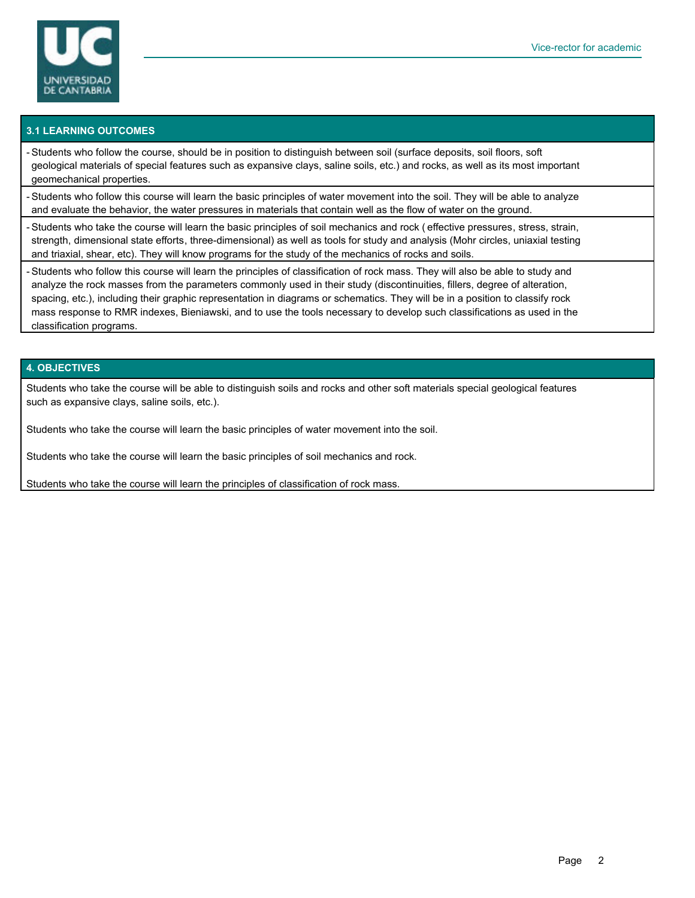

#### **3.1 LEARNING OUTCOMES**

- Students who follow the course, should be in position to distinguish between soil (surface deposits, soil floors, soft geological materials of special features such as expansive clays, saline soils, etc.) and rocks, as well as its most important geomechanical properties.

- Students who follow this course will learn the basic principles of water movement into the soil. They will be able to analyze and evaluate the behavior, the water pressures in materials that contain well as the flow of water on the ground.

- Students who take the course will learn the basic principles of soil mechanics and rock ( effective pressures, stress, strain, strength, dimensional state efforts, three-dimensional) as well as tools for study and analysis (Mohr circles, uniaxial testing and triaxial, shear, etc). They will know programs for the study of the mechanics of rocks and soils.

- Students who follow this course will learn the principles of classification of rock mass. They will also be able to study and analyze the rock masses from the parameters commonly used in their study (discontinuities, fillers, degree of alteration, spacing, etc.), including their graphic representation in diagrams or schematics. They will be in a position to classify rock mass response to RMR indexes, Bieniawski, and to use the tools necessary to develop such classifications as used in the classification programs.

#### **4. OBJECTIVES**

Students who take the course will be able to distinguish soils and rocks and other soft materials special geological features such as expansive clays, saline soils, etc.).

Students who take the course will learn the basic principles of water movement into the soil.

Students who take the course will learn the basic principles of soil mechanics and rock.

Students who take the course will learn the principles of classification of rock mass.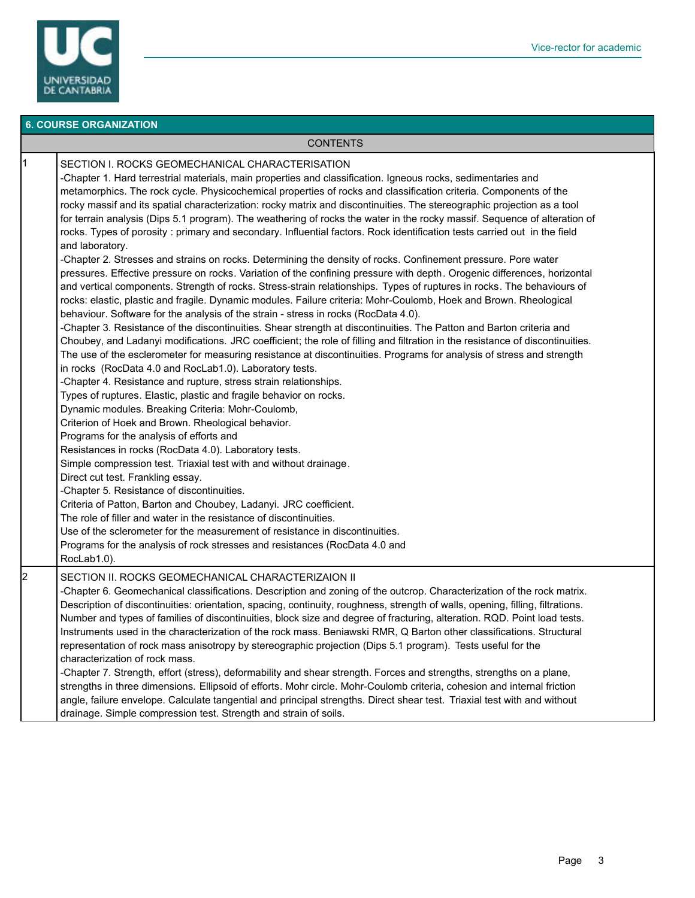

#### **6. COURSE ORGANIZATION**

#### CONTENTS

|  | 11 | SECTION I. ROCKS GEOMECHANICAL CHARACTERISATION                                                                                |
|--|----|--------------------------------------------------------------------------------------------------------------------------------|
|  |    | -Chapter 1. Hard terrestrial materials, main properties and classification. Igneous rocks, sedimentaries and                   |
|  |    | metamorphics. The rock cycle. Physicochemical properties of rocks and classification criteria. Components of the               |
|  |    | rocky massif and its spatial characterization: rocky matrix and discontinuities. The stereographic projection as a tool        |
|  |    | for terrain analysis (Dips 5.1 program). The weathering of rocks the water in the rocky massif. Sequence of alteration of      |
|  |    | rocks. Types of porosity: primary and secondary. Influential factors. Rock identification tests carried out in the field       |
|  |    | and laboratory.                                                                                                                |
|  |    | -Chapter 2. Stresses and strains on rocks. Determining the density of rocks. Confinement pressure. Pore water                  |
|  |    | pressures. Effective pressure on rocks. Variation of the confining pressure with depth. Orogenic differences, horizontal       |
|  |    | and vertical components. Strength of rocks. Stress-strain relationships. Types of ruptures in rocks. The behaviours of         |
|  |    | rocks: elastic, plastic and fragile. Dynamic modules. Failure criteria: Mohr-Coulomb, Hoek and Brown. Rheological              |
|  |    | behaviour. Software for the analysis of the strain - stress in rocks (RocData 4.0).                                            |
|  |    | -Chapter 3. Resistance of the discontinuities. Shear strength at discontinuities. The Patton and Barton criteria and           |
|  |    | Choubey, and Ladanyi modifications. JRC coefficient; the role of filling and filtration in the resistance of discontinuities.  |
|  |    | The use of the esclerometer for measuring resistance at discontinuities. Programs for analysis of stress and strength          |
|  |    | in rocks (RocData 4.0 and RocLab1.0). Laboratory tests.                                                                        |
|  |    | -Chapter 4. Resistance and rupture, stress strain relationships.                                                               |
|  |    | Types of ruptures. Elastic, plastic and fragile behavior on rocks.                                                             |
|  |    | Dynamic modules. Breaking Criteria: Mohr-Coulomb,                                                                              |
|  |    | Criterion of Hoek and Brown. Rheological behavior.                                                                             |
|  |    | Programs for the analysis of efforts and                                                                                       |
|  |    | Resistances in rocks (RocData 4.0). Laboratory tests.                                                                          |
|  |    | Simple compression test. Triaxial test with and without drainage.                                                              |
|  |    | Direct cut test. Frankling essay.                                                                                              |
|  |    | -Chapter 5. Resistance of discontinuities.                                                                                     |
|  |    | Criteria of Patton, Barton and Choubey, Ladanyi. JRC coefficient.                                                              |
|  |    | The role of filler and water in the resistance of discontinuities.                                                             |
|  |    | Use of the sclerometer for the measurement of resistance in discontinuities.                                                   |
|  |    | Programs for the analysis of rock stresses and resistances (RocData 4.0 and                                                    |
|  |    | RocLab1.0).                                                                                                                    |
|  | 12 | SECTION II. ROCKS GEOMECHANICAL CHARACTERIZAION II                                                                             |
|  |    | -Chapter 6. Geomechanical classifications. Description and zoning of the outcrop. Characterization of the rock matrix.         |
|  |    | Description of discontinuities: orientation, spacing, continuity, roughness, strength of walls, opening, filling, filtrations. |
|  |    | Number and types of families of discontinuities, block size and degree of fracturing, alteration. RQD. Point load tests.       |
|  |    | Instruments used in the characterization of the rock mass. Beniawski RMR, Q Barton other classifications. Structural           |
|  |    | representation of rock mass anisotropy by stereographic projection (Dips 5.1 program). Tests useful for the                    |
|  |    | characterization of rock mass.                                                                                                 |
|  |    | -Chapter 7. Strength, effort (stress), deformability and shear strength. Forces and strengths, strengths on a plane,           |
|  |    | strengths in three dimensions. Ellipsoid of efforts. Mohr circle. Mohr-Coulomb criteria, cohesion and internal friction        |
|  |    | angle, failure envelope. Calculate tangential and principal strengths. Direct shear test. Triaxial test with and without       |
|  |    | drainage. Simple compression test. Strength and strain of soils.                                                               |
|  |    |                                                                                                                                |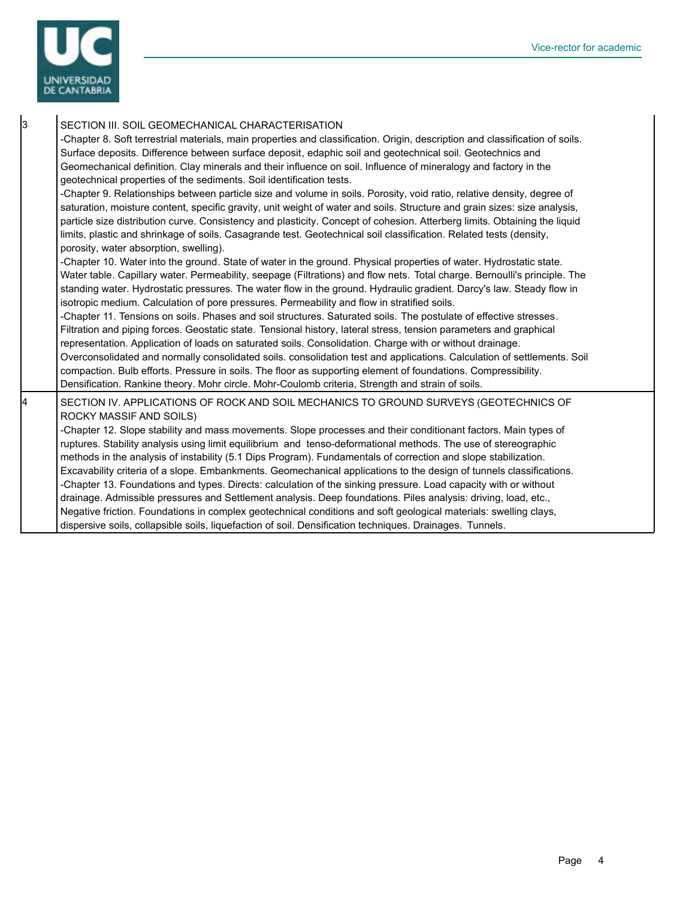

| 3<br>SECTION III. SOIL GEOMECHANICAL CHARACTERISATION<br>-Chapter 8. Soft terrestrial materials, main properties and classification. Origin, description and classification of soils.<br>Surface deposits. Difference between surface deposit, edaphic soil and geotechnical soil. Geotechnics and<br>Geomechanical definition. Clay minerals and their influence on soil. Influence of mineralogy and factory in the<br>geotechnical properties of the sediments. Soil identification tests.<br>-Chapter 9. Relationships between particle size and volume in soils. Porosity, void ratio, relative density, degree of |  |
|-------------------------------------------------------------------------------------------------------------------------------------------------------------------------------------------------------------------------------------------------------------------------------------------------------------------------------------------------------------------------------------------------------------------------------------------------------------------------------------------------------------------------------------------------------------------------------------------------------------------------|--|
|                                                                                                                                                                                                                                                                                                                                                                                                                                                                                                                                                                                                                         |  |
| saturation, moisture content, specific gravity, unit weight of water and soils. Structure and grain sizes: size analysis,<br>particle size distribution curve. Consistency and plasticity. Concept of cohesion. Atterberg limits. Obtaining the liquid<br>limits, plastic and shrinkage of soils. Casagrande test. Geotechnical soil classification. Related tests (density,<br>porosity, water absorption, swelling).                                                                                                                                                                                                  |  |
| -Chapter 10. Water into the ground. State of water in the ground. Physical properties of water. Hydrostatic state.<br>Water table. Capillary water. Permeability, seepage (Filtrations) and flow nets. Total charge. Bernoulli's principle. The<br>standing water. Hydrostatic pressures. The water flow in the ground. Hydraulic gradient. Darcy's law. Steady flow in<br>isotropic medium. Calculation of pore pressures. Permeability and flow in stratified soils.                                                                                                                                                  |  |
| -Chapter 11. Tensions on soils. Phases and soil structures. Saturated soils. The postulate of effective stresses.<br>Filtration and piping forces. Geostatic state. Tensional history, lateral stress, tension parameters and graphical<br>representation. Application of loads on saturated soils. Consolidation. Charge with or without drainage.                                                                                                                                                                                                                                                                     |  |
| Overconsolidated and normally consolidated soils. consolidation test and applications. Calculation of settlements. Soil<br>compaction. Bulb efforts. Pressure in soils. The floor as supporting element of foundations. Compressibility.<br>Densification. Rankine theory. Mohr circle. Mohr-Coulomb criteria, Strength and strain of soils.                                                                                                                                                                                                                                                                            |  |
| 4<br>SECTION IV. APPLICATIONS OF ROCK AND SOIL MECHANICS TO GROUND SURVEYS (GEOTECHNICS OF<br>ROCKY MASSIF AND SOILS)                                                                                                                                                                                                                                                                                                                                                                                                                                                                                                   |  |
| -Chapter 12. Slope stability and mass movements. Slope processes and their conditionant factors. Main types of<br>ruptures. Stability analysis using limit equilibrium and tenso-deformational methods. The use of stereographic<br>methods in the analysis of instability (5.1 Dips Program). Fundamentals of correction and slope stabilization.                                                                                                                                                                                                                                                                      |  |
| Excavability criteria of a slope. Embankments. Geomechanical applications to the design of tunnels classifications.                                                                                                                                                                                                                                                                                                                                                                                                                                                                                                     |  |
| -Chapter 13. Foundations and types. Directs: calculation of the sinking pressure. Load capacity with or without<br>drainage. Admissible pressures and Settlement analysis. Deep foundations. Piles analysis: driving, load, etc.,                                                                                                                                                                                                                                                                                                                                                                                       |  |
| Negative friction. Foundations in complex geotechnical conditions and soft geological materials: swelling clays,<br>dispersive soils, collapsible soils, liquefaction of soil. Densification techniques. Drainages. Tunnels.                                                                                                                                                                                                                                                                                                                                                                                            |  |